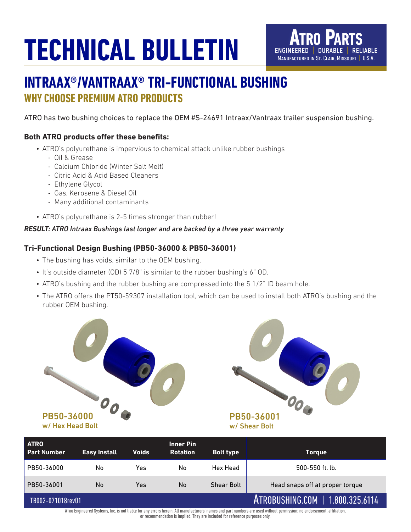## **TECHNICAL BULLETIN**



## **INTRAAX®/VANTRAAX® TRI-FUNCTIONAL BUSHING WHY CHOOSE PREMIUM ATRO PRODUCTS**

ATRO has two bushing choices to replace the OEM #S-24691 Intraax/Vantraax trailer suspension bushing.

#### **Both ATRO products offer these benefits:**

- ATRO's polyurethane is impervious to chemical attack unlike rubber bushings
	- Oil & Grease
	- Calcium Chloride (Winter Salt Melt)
	- Citric Acid & Acid Based Cleaners
	- Ethylene Glycol
	- Gas, Kerosene & Diesel Oil
	- Many additional contaminants
- ATRO's polyurethane is 2-5 times stronger than rubber!

#### *RESULT: ATRO Intraax Bushings last longer and are backed by a three year warranty*

#### **Tri-Functional Design Bushing (PB50-36000 & PB50-36001)**

- The bushing has voids, similar to the OEM bushing.
- It's outside diameter (OD) 5 7/8" is similar to the rubber bushing's 6" OD.
- ATRO's bushing and the rubber bushing are compressed into the 5 1/2" ID beam hole.
- The ATRO offers the PT50-59307 installation tool, which can be used to install both ATRO's bushing and the rubber OEM bushing.



PB50-36001 w/ Shear Bolt

| <b>ATRO</b><br><b>Part Number</b>                                                                                                                                      | <b>Easy Install</b> | <b>Voids</b> | <b>Inner Pin</b><br><b>Rotation</b> | <b>Bolt type</b>  | <b>Torque</b>                   |
|------------------------------------------------------------------------------------------------------------------------------------------------------------------------|---------------------|--------------|-------------------------------------|-------------------|---------------------------------|
| PB50-36000                                                                                                                                                             | No                  | Yes          | No                                  | Hex Head          | 500-550 ft. lb.                 |
| PB50-36001                                                                                                                                                             | No.                 | Yes          | <b>No</b>                           | <b>Shear Bolt</b> | Head snaps off at proper torque |
| ATROBUSHING.COM   1.800.325.6114<br>TB002-071018rev01                                                                                                                  |                     |              |                                     |                   |                                 |
| ATRO Engineered Systems, Inc. is not liable for any errors berein. All manufacturers' names and part numbers are used without permission; no endorsement, affiliation, |                     |              |                                     |                   |                                 |

Atro Engineered Systems, Inc. is not liable for any errors herein. All manufacturers' names and part numbers are used without permission; no endorsement, affiliation, or recommendation is implied. They are included for reference purposes only.